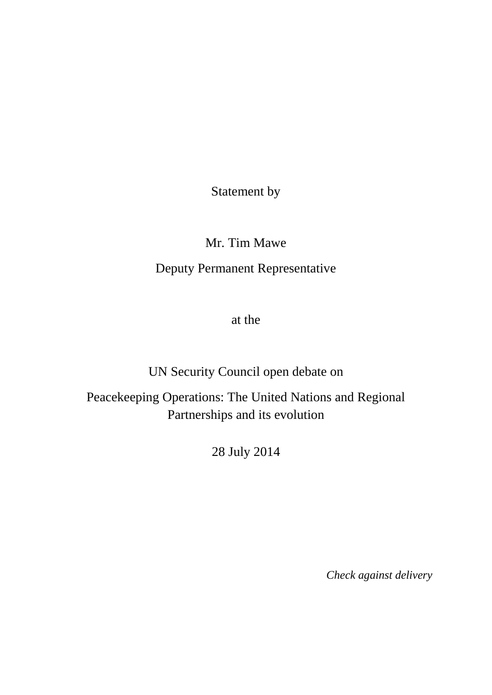Statement by

Mr. Tim Mawe

Deputy Permanent Representative

at the

UN Security Council open debate on

Peacekeeping Operations: The United Nations and Regional Partnerships and its evolution

28 July 2014

*Check against delivery*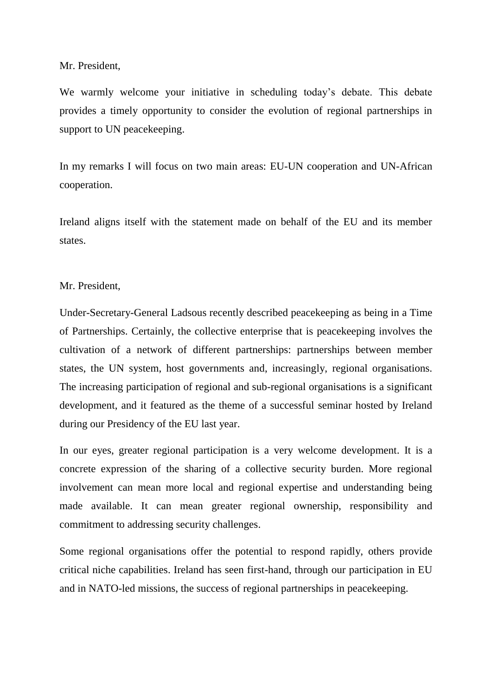# Mr. President,

We warmly welcome your initiative in scheduling today's debate. This debate provides a timely opportunity to consider the evolution of regional partnerships in support to UN peacekeeping.

In my remarks I will focus on two main areas: EU-UN cooperation and UN-African cooperation.

Ireland aligns itself with the statement made on behalf of the EU and its member states.

# Mr. President,

Under-Secretary-General Ladsous recently described peacekeeping as being in a Time of Partnerships. Certainly, the collective enterprise that is peacekeeping involves the cultivation of a network of different partnerships: partnerships between member states, the UN system, host governments and, increasingly, regional organisations. The increasing participation of regional and sub-regional organisations is a significant development, and it featured as the theme of a successful seminar hosted by Ireland during our Presidency of the EU last year.

In our eyes, greater regional participation is a very welcome development. It is a concrete expression of the sharing of a collective security burden. More regional involvement can mean more local and regional expertise and understanding being made available. It can mean greater regional ownership, responsibility and commitment to addressing security challenges.

Some regional organisations offer the potential to respond rapidly, others provide critical niche capabilities. Ireland has seen first-hand, through our participation in EU and in NATO-led missions, the success of regional partnerships in peacekeeping.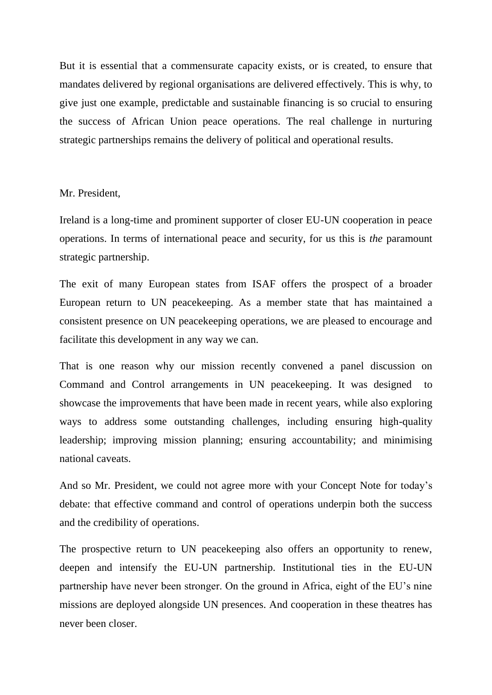But it is essential that a commensurate capacity exists, or is created, to ensure that mandates delivered by regional organisations are delivered effectively. This is why, to give just one example, predictable and sustainable financing is so crucial to ensuring the success of African Union peace operations. The real challenge in nurturing strategic partnerships remains the delivery of political and operational results.

# Mr. President,

Ireland is a long-time and prominent supporter of closer EU-UN cooperation in peace operations. In terms of international peace and security, for us this is *the* paramount strategic partnership.

The exit of many European states from ISAF offers the prospect of a broader European return to UN peacekeeping. As a member state that has maintained a consistent presence on UN peacekeeping operations, we are pleased to encourage and facilitate this development in any way we can.

That is one reason why our mission recently convened a panel discussion on Command and Control arrangements in UN peacekeeping. It was designed to showcase the improvements that have been made in recent years, while also exploring ways to address some outstanding challenges, including ensuring high-quality leadership; improving mission planning; ensuring accountability; and minimising national caveats.

And so Mr. President, we could not agree more with your Concept Note for today's debate: that effective command and control of operations underpin both the success and the credibility of operations.

The prospective return to UN peacekeeping also offers an opportunity to renew, deepen and intensify the EU-UN partnership. Institutional ties in the EU-UN partnership have never been stronger. On the ground in Africa, eight of the EU's nine missions are deployed alongside UN presences. And cooperation in these theatres has never been closer.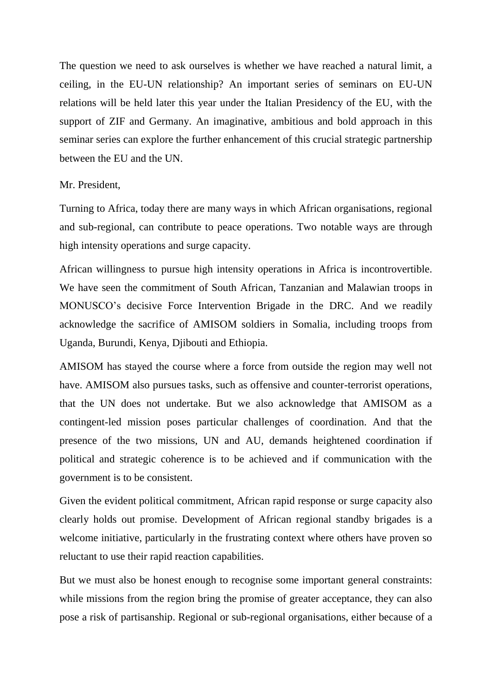The question we need to ask ourselves is whether we have reached a natural limit, a ceiling, in the EU-UN relationship? An important series of seminars on EU-UN relations will be held later this year under the Italian Presidency of the EU, with the support of ZIF and Germany. An imaginative, ambitious and bold approach in this seminar series can explore the further enhancement of this crucial strategic partnership between the EU and the UN.

#### Mr. President,

Turning to Africa, today there are many ways in which African organisations, regional and sub-regional, can contribute to peace operations. Two notable ways are through high intensity operations and surge capacity.

African willingness to pursue high intensity operations in Africa is incontrovertible. We have seen the commitment of South African, Tanzanian and Malawian troops in MONUSCO's decisive Force Intervention Brigade in the DRC. And we readily acknowledge the sacrifice of AMISOM soldiers in Somalia, including troops from Uganda, Burundi, Kenya, Djibouti and Ethiopia.

AMISOM has stayed the course where a force from outside the region may well not have. AMISOM also pursues tasks, such as offensive and counter-terrorist operations, that the UN does not undertake. But we also acknowledge that AMISOM as a contingent-led mission poses particular challenges of coordination. And that the presence of the two missions, UN and AU, demands heightened coordination if political and strategic coherence is to be achieved and if communication with the government is to be consistent.

Given the evident political commitment, African rapid response or surge capacity also clearly holds out promise. Development of African regional standby brigades is a welcome initiative, particularly in the frustrating context where others have proven so reluctant to use their rapid reaction capabilities.

But we must also be honest enough to recognise some important general constraints: while missions from the region bring the promise of greater acceptance, they can also pose a risk of partisanship. Regional or sub-regional organisations, either because of a